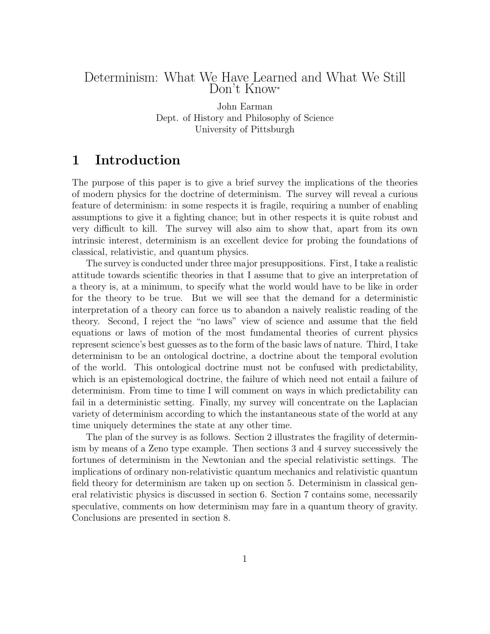#### Determinism: What We Have Learned and What We Still Don't Know<sup>∗</sup>

John Earman Dept. of History and Philosophy of Science University of Pittsburgh

#### 1 Introduction

The purpose of this paper is to give a brief survey the implications of the theories of modern physics for the doctrine of determinism. The survey will reveal a curious feature of determinism: in some respects it is fragile, requiring a number of enabling assumptions to give it a fighting chance; but in other respects it is quite robust and very difficult to kill. The survey will also aim to show that, apart from its own intrinsic interest, determinism is an excellent device for probing the foundations of classical, relativistic, and quantum physics.

The survey is conducted under three major presuppositions. First, I take a realistic attitude towards scientific theories in that I assume that to give an interpretation of a theory is, at a minimum, to specify what the world would have to be like in order for the theory to be true. But we will see that the demand for a deterministic interpretation of a theory can force us to abandon a naively realistic reading of the theory. Second, I reject the "no laws" view of science and assume that the field equations or laws of motion of the most fundamental theories of current physics represent science's best guesses as to the form of the basic laws of nature. Third, I take determinism to be an ontological doctrine, a doctrine about the temporal evolution of the world. This ontological doctrine must not be confused with predictability, which is an epistemological doctrine, the failure of which need not entail a failure of determinism. From time to time I will comment on ways in which predictability can fail in a deterministic setting. Finally, my survey will concentrate on the Laplacian variety of determinism according to which the instantaneous state of the world at any time uniquely determines the state at any other time.

The plan of the survey is as follows. Section 2 illustrates the fragility of determinism by means of a Zeno type example. Then sections 3 and 4 survey successively the fortunes of determinism in the Newtonian and the special relativistic settings. The implications of ordinary non-relativistic quantum mechanics and relativistic quantum field theory for determinism are taken up on section 5. Determinism in classical general relativistic physics is discussed in section 6. Section 7 contains some, necessarily speculative, comments on how determinism may fare in a quantum theory of gravity. Conclusions are presented in section 8.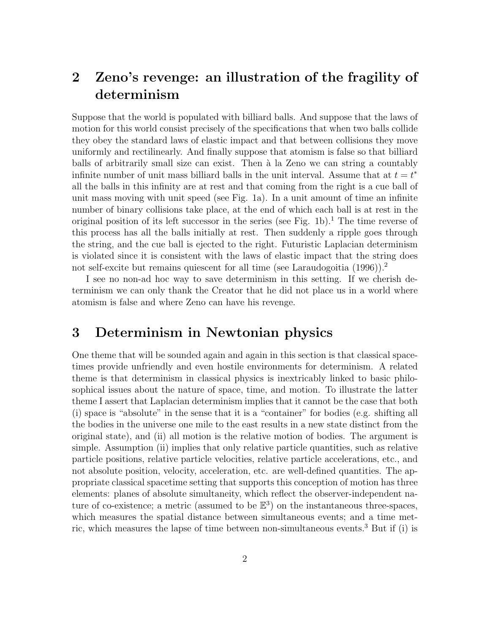# 2 Zeno's revenge: an illustration of the fragility of determinism

Suppose that the world is populated with billiard balls. And suppose that the laws of motion for this world consist precisely of the specifications that when two balls collide they obey the standard laws of elastic impact and that between collisions they move uniformly and rectilinearly. And finally suppose that atomism is false so that billiard balls of arbitrarily small size can exist. Then à la Zeno we can string a countably infinite number of unit mass billiard balls in the unit interval. Assume that at  $t = t^*$ all the balls in this infinity are at rest and that coming from the right is a cue ball of unit mass moving with unit speed (see Fig. 1a). In a unit amount of time an infinite number of binary collisions take place, at the end of which each ball is at rest in the original position of its left successor in the series (see Fig. 1b).<sup>1</sup> The time reverse of this process has all the balls initially at rest. Then suddenly a ripple goes through the string, and the cue ball is ejected to the right. Futuristic Laplacian determinism is violated since it is consistent with the laws of elastic impact that the string does not self-excite but remains quiescent for all time (see Laraudogoitia  $(1996)$ ).<sup>2</sup>

I see no non-ad hoc way to save determinism in this setting. If we cherish determinism we can only thank the Creator that he did not place us in a world where atomism is false and where Zeno can have his revenge.

#### 3 Determinism in Newtonian physics

One theme that will be sounded again and again in this section is that classical spacetimes provide unfriendly and even hostile environments for determinism. A related theme is that determinism in classical physics is inextricably linked to basic philosophical issues about the nature of space, time, and motion. To illustrate the latter theme I assert that Laplacian determinism implies that it cannot be the case that both (i) space is "absolute" in the sense that it is a "container" for bodies (e.g. shifting all the bodies in the universe one mile to the east results in a new state distinct from the original state), and (ii) all motion is the relative motion of bodies. The argument is simple. Assumption (ii) implies that only relative particle quantities, such as relative particle positions, relative particle velocities, relative particle accelerations, etc., and not absolute position, velocity, acceleration, etc. are well-defined quantities. The appropriate classical spacetime setting that supports this conception of motion has three elements: planes of absolute simultaneity, which reflect the observer-independent nature of co-existence; a metric (assumed to be  $\mathbb{E}^3$ ) on the instantaneous three-spaces, which measures the spatial distance between simultaneous events; and a time metric, which measures the lapse of time between non-simultaneous events.<sup>3</sup> But if (i) is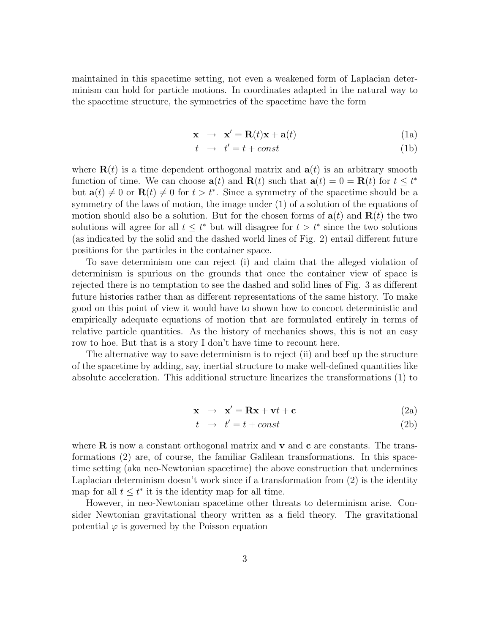maintained in this spacetime setting, not even a weakened form of Laplacian determinism can hold for particle motions. In coordinates adapted in the natural way to the spacetime structure, the symmetries of the spacetime have the form

$$
\mathbf{x} \rightarrow \mathbf{x}' = \mathbf{R}(t)\mathbf{x} + \mathbf{a}(t) \tag{1a}
$$

$$
t \rightarrow t' = t + const
$$
 (1b)

where  $\mathbf{R}(t)$  is a time dependent orthogonal matrix and  $\mathbf{a}(t)$  is an arbitrary smooth function of time. We can choose  $\mathbf{a}(t)$  and  $\mathbf{R}(t)$  such that  $\mathbf{a}(t) = 0 = \mathbf{R}(t)$  for  $t \leq t^*$ but  $\mathbf{a}(t) \neq 0$  or  $\mathbf{R}(t) \neq 0$  for  $t > t^*$ . Since a symmetry of the spacetime should be a symmetry of the laws of motion, the image under (1) of a solution of the equations of motion should also be a solution. But for the chosen forms of  $a(t)$  and  $R(t)$  the two solutions will agree for all  $t \leq t^*$  but will disagree for  $t > t^*$  since the two solutions (as indicated by the solid and the dashed world lines of Fig. 2) entail different future positions for the particles in the container space.

To save determinism one can reject (i) and claim that the alleged violation of determinism is spurious on the grounds that once the container view of space is rejected there is no temptation to see the dashed and solid lines of Fig. 3 as different future histories rather than as different representations of the same history. To make good on this point of view it would have to shown how to concoct deterministic and empirically adequate equations of motion that are formulated entirely in terms of relative particle quantities. As the history of mechanics shows, this is not an easy row to hoe. But that is a story I don't have time to recount here.

The alternative way to save determinism is to reject (ii) and beef up the structure of the spacetime by adding, say, inertial structure to make well-defined quantities like absolute acceleration. This additional structure linearizes the transformations (1) to

$$
\mathbf{x} \rightarrow \mathbf{x}' = \mathbf{R}\mathbf{x} + \mathbf{v}t + \mathbf{c}
$$
 (2a)

$$
t \rightarrow t' = t + const \tag{2b}
$$

where  $\bf{R}$  is now a constant orthogonal matrix and  $\bf{v}$  and  $\bf{c}$  are constants. The transformations (2) are, of course, the familiar Galilean transformations. In this spacetime setting (aka neo-Newtonian spacetime) the above construction that undermines Laplacian determinism doesn't work since if a transformation from (2) is the identity map for all  $t \leq t^*$  it is the identity map for all time.

However, in neo-Newtonian spacetime other threats to determinism arise. Consider Newtonian gravitational theory written as a field theory. The gravitational potential  $\varphi$  is governed by the Poisson equation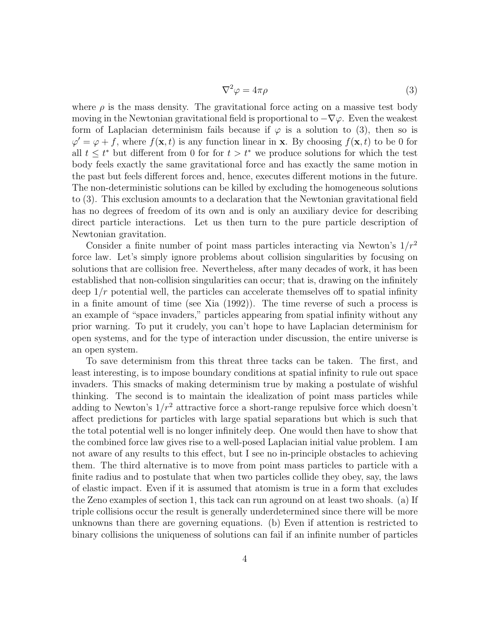$$
\nabla^2 \varphi = 4\pi \rho \tag{3}
$$

where  $\rho$  is the mass density. The gravitational force acting on a massive test body moving in the Newtonian gravitational field is proportional to  $-\nabla\varphi$ . Even the weakest form of Laplacian determinism fails because if  $\varphi$  is a solution to (3), then so is  $\varphi' = \varphi + f$ , where  $f(\mathbf{x}, t)$  is any function linear in **x**. By choosing  $f(\mathbf{x}, t)$  to be 0 for all  $t \leq t^*$  but different from 0 for for  $t > t^*$  we produce solutions for which the test body feels exactly the same gravitational force and has exactly the same motion in the past but feels different forces and, hence, executes different motions in the future. The non-deterministic solutions can be killed by excluding the homogeneous solutions to (3). This exclusion amounts to a declaration that the Newtonian gravitational field has no degrees of freedom of its own and is only an auxiliary device for describing direct particle interactions. Let us then turn to the pure particle description of Newtonian gravitation.

Consider a finite number of point mass particles interacting via Newton's  $1/r^2$ force law. Let's simply ignore problems about collision singularities by focusing on solutions that are collision free. Nevertheless, after many decades of work, it has been established that non-collision singularities can occur; that is, drawing on the infinitely deep  $1/r$  potential well, the particles can accelerate themselves off to spatial infinity in a finite amount of time (see Xia (1992)). The time reverse of such a process is an example of "space invaders," particles appearing from spatial infinity without any prior warning. To put it crudely, you can't hope to have Laplacian determinism for open systems, and for the type of interaction under discussion, the entire universe is an open system.

To save determinism from this threat three tacks can be taken. The first, and least interesting, is to impose boundary conditions at spatial infinity to rule out space invaders. This smacks of making determinism true by making a postulate of wishful thinking. The second is to maintain the idealization of point mass particles while adding to Newton's  $1/r^2$  attractive force a short-range repulsive force which doesn't affect predictions for particles with large spatial separations but which is such that the total potential well is no longer infinitely deep. One would then have to show that the combined force law gives rise to a well-posed Laplacian initial value problem. I am not aware of any results to this effect, but I see no in-principle obstacles to achieving them. The third alternative is to move from point mass particles to particle with a finite radius and to postulate that when two particles collide they obey, say, the laws of elastic impact. Even if it is assumed that atomism is true in a form that excludes the Zeno examples of section 1, this tack can run aground on at least two shoals. (a) If triple collisions occur the result is generally underdetermined since there will be more unknowns than there are governing equations. (b) Even if attention is restricted to binary collisions the uniqueness of solutions can fail if an infinite number of particles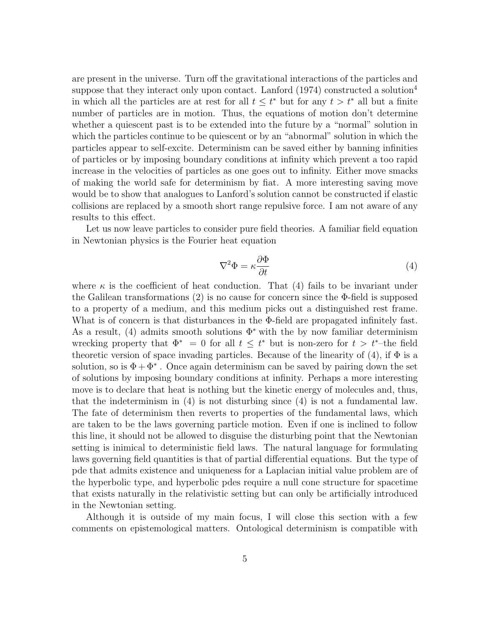are present in the universe. Turn off the gravitational interactions of the particles and suppose that they interact only upon contact. Lanford  $(1974)$  constructed a solution<sup>4</sup> in which all the particles are at rest for all  $t \leq t^*$  but for any  $t > t^*$  all but a finite number of particles are in motion. Thus, the equations of motion don't determine whether a quiescent past is to be extended into the future by a "normal" solution in which the particles continue to be quiescent or by an "abnormal" solution in which the particles appear to self-excite. Determinism can be saved either by banning infinities of particles or by imposing boundary conditions at infinity which prevent a too rapid increase in the velocities of particles as one goes out to infinity. Either move smacks of making the world safe for determinism by fiat. A more interesting saving move would be to show that analogues to Lanford's solution cannot be constructed if elastic collisions are replaced by a smooth short range repulsive force. I am not aware of any results to this effect.

Let us now leave particles to consider pure field theories. A familiar field equation in Newtonian physics is the Fourier heat equation

$$
\nabla^2 \Phi = \kappa \frac{\partial \Phi}{\partial t} \tag{4}
$$

where  $\kappa$  is the coefficient of heat conduction. That (4) fails to be invariant under the Galilean transformations (2) is no cause for concern since the Φ-field is supposed to a property of a medium, and this medium picks out a distinguished rest frame. What is of concern is that disturbances in the Φ-field are propagated infinitely fast. As a result, (4) admits smooth solutions  $\Phi^*$  with the by now familiar determinism wrecking property that  $\Phi^* = 0$  for all  $t \leq t^*$  but is non-zero for  $t > t^*$ –the field theoretic version of space invading particles. Because of the linearity of (4), if  $\Phi$  is a solution, so is  $\Phi + \Phi^*$ . Once again determinism can be saved by pairing down the set of solutions by imposing boundary conditions at infinity. Perhaps a more interesting move is to declare that heat is nothing but the kinetic energy of molecules and, thus, that the indeterminism in (4) is not disturbing since (4) is not a fundamental law. The fate of determinism then reverts to properties of the fundamental laws, which are taken to be the laws governing particle motion. Even if one is inclined to follow this line, it should not be allowed to disguise the disturbing point that the Newtonian setting is inimical to deterministic field laws. The natural language for formulating laws governing field quantities is that of partial differential equations. But the type of pde that admits existence and uniqueness for a Laplacian initial value problem are of the hyperbolic type, and hyperbolic pdes require a null cone structure for spacetime that exists naturally in the relativistic setting but can only be artificially introduced in the Newtonian setting.

Although it is outside of my main focus, I will close this section with a few comments on epistemological matters. Ontological determinism is compatible with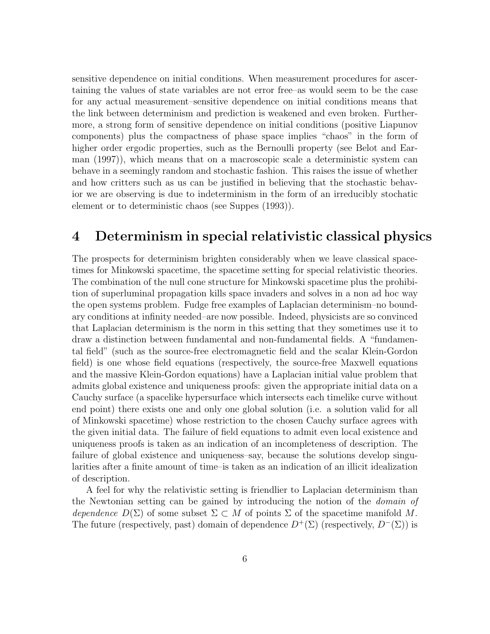sensitive dependence on initial conditions. When measurement procedures for ascertaining the values of state variables are not error free–as would seem to be the case for any actual measurement–sensitive dependence on initial conditions means that the link between determinism and prediction is weakened and even broken. Furthermore, a strong form of sensitive dependence on initial conditions (positive Liapunov components) plus the compactness of phase space implies "chaos" in the form of higher order ergodic properties, such as the Bernoulli property (see Belot and Earman (1997)), which means that on a macroscopic scale a deterministic system can behave in a seemingly random and stochastic fashion. This raises the issue of whether and how critters such as us can be justified in believing that the stochastic behavior we are observing is due to indeterminism in the form of an irreducibly stochatic element or to deterministic chaos (see Suppes (1993)).

#### 4 Determinism in special relativistic classical physics

The prospects for determinism brighten considerably when we leave classical spacetimes for Minkowski spacetime, the spacetime setting for special relativistic theories. The combination of the null cone structure for Minkowski spacetime plus the prohibition of superluminal propagation kills space invaders and solves in a non ad hoc way the open systems problem. Fudge free examples of Laplacian determinism–no boundary conditions at infinity needed–are now possible. Indeed, physicists are so convinced that Laplacian determinism is the norm in this setting that they sometimes use it to draw a distinction between fundamental and non-fundamental fields. A "fundamental field" (such as the source-free electromagnetic field and the scalar Klein-Gordon field) is one whose field equations (respectively, the source-free Maxwell equations and the massive Klein-Gordon equations) have a Laplacian initial value problem that admits global existence and uniqueness proofs: given the appropriate initial data on a Cauchy surface (a spacelike hypersurface which intersects each timelike curve without end point) there exists one and only one global solution (i.e. a solution valid for all of Minkowski spacetime) whose restriction to the chosen Cauchy surface agrees with the given initial data. The failure of field equations to admit even local existence and uniqueness proofs is taken as an indication of an incompleteness of description. The failure of global existence and uniqueness–say, because the solutions develop singularities after a finite amount of time–is taken as an indication of an illicit idealization of description.

A feel for why the relativistic setting is friendlier to Laplacian determinism than the Newtonian setting can be gained by introducing the notion of the domain of dependence  $D(\Sigma)$  of some subset  $\Sigma \subset M$  of points  $\Sigma$  of the spacetime manifold M. The future (respectively, past) domain of dependence  $D^+(\Sigma)$  (respectively,  $D^-(\Sigma)$ ) is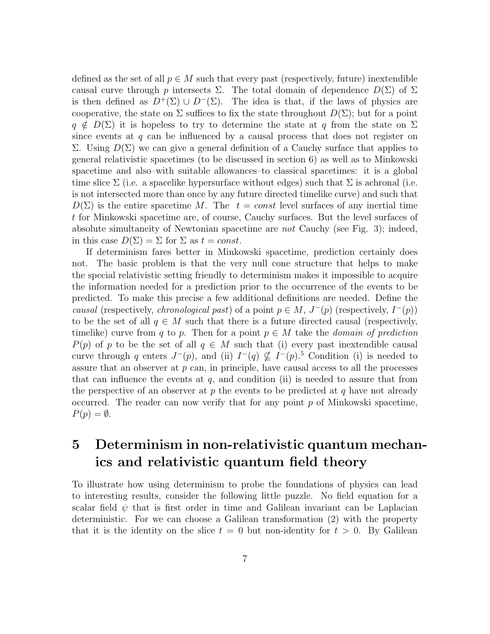defined as the set of all  $p \in M$  such that every past (respectively, future) inextendible causal curve through p intersects  $\Sigma$ . The total domain of dependence  $D(\Sigma)$  of  $\Sigma$ is then defined as  $D^+(\Sigma) \cup D^-(\Sigma)$ . The idea is that, if the laws of physics are cooperative, the state on  $\Sigma$  suffices to fix the state throughout  $D(\Sigma)$ ; but for a point  $q \notin D(\Sigma)$  it is hopeless to try to determine the state at q from the state on  $\Sigma$ since events at  $q$  can be influenced by a causal process that does not register on Σ. Using D(Σ) we can give a general definition of a Cauchy surface that applies to general relativistic spacetimes (to be discussed in section 6) as well as to Minkowski spacetime and also–with suitable allowances–to classical spacetimes: it is a global time slice  $\Sigma$  (i.e. a spacelike hypersurface without edges) such that  $\Sigma$  is achronal (i.e. is not intersected more than once by any future directed timelike curve) and such that  $D(\Sigma)$  is the entire spacetime M. The  $t = const$  level surfaces of any inertial time t for Minkowski spacetime are, of course, Cauchy surfaces. But the level surfaces of absolute simultaneity of Newtonian spacetime are *not* Cauchy (see Fig. 3); indeed, in this case  $D(\Sigma) = \Sigma$  for  $\Sigma$  as  $t = const.$ 

If determinism fares better in Minkowski spacetime, prediction certainly does not. The basic problem is that the very null cone structure that helps to make the special relativistic setting friendly to determinism makes it impossible to acquire the information needed for a prediction prior to the occurrence of the events to be predicted. To make this precise a few additional definitions are needed. Define the causal (respectively, *chronological past*) of a point  $p \in M$ ,  $J^-(p)$  (respectively,  $I^-(p)$ ) to be the set of all  $q \in M$  such that there is a future directed causal (respectively, timelike) curve from q to p. Then for a point  $p \in M$  take the *domain of prediction*  $P(p)$  of p to be the set of all  $q \in M$  such that (i) every past inextendible causal curve through q enters  $J^-(p)$ , and (ii)  $I^-(q) \nsubseteq I^-(p)$ .<sup>5</sup> Condition (i) is needed to assure that an observer at  $p$  can, in principle, have causal access to all the processes that can influence the events at  $q$ , and condition (ii) is needed to assure that from the perspective of an observer at p the events to be predicted at q have not already occurred. The reader can now verify that for any point  $p$  of Minkowski spacetime,  $P(p) = \emptyset$ .

## 5 Determinism in non-relativistic quantum mechanics and relativistic quantum field theory

To illustrate how using determinism to probe the foundations of physics can lead to interesting results, consider the following little puzzle. No field equation for a scalar field  $\psi$  that is first order in time and Galilean invariant can be Laplacian deterministic. For we can choose a Galilean transformation (2) with the property that it is the identity on the slice  $t = 0$  but non-identity for  $t > 0$ . By Galilean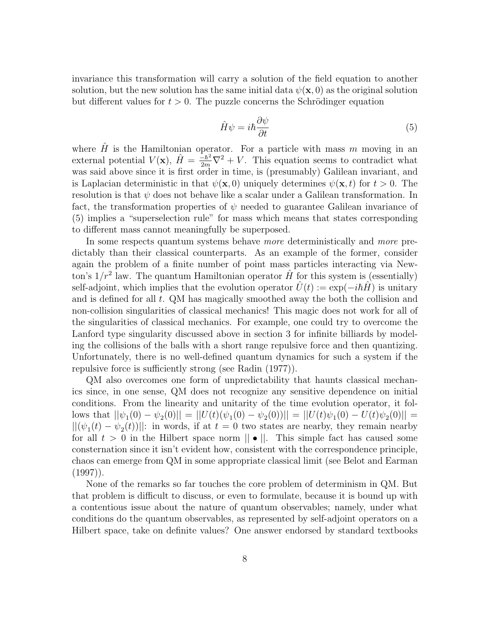invariance this transformation will carry a solution of the field equation to another solution, but the new solution has the same initial data  $\psi(\mathbf{x},0)$  as the original solution but different values for  $t > 0$ . The puzzle concerns the Schrödinger equation

$$
\hat{H}\psi = i\hbar \frac{\partial \psi}{\partial t} \tag{5}
$$

where  $\hat{H}$  is the Hamiltonian operator. For a particle with mass m moving in an external potential  $V(\mathbf{x})$ ,  $\hat{H} = \frac{-\hbar^2}{2m}\nabla^2 + V$ . This equation seems to contradict what was said above since it is first order in time, is (presumably) Galilean invariant, and is Laplacian deterministic in that  $\psi(\mathbf{x},0)$  uniquely determines  $\psi(\mathbf{x},t)$  for  $t>0$ . The resolution is that  $\psi$  does not behave like a scalar under a Galilean transformation. In fact, the transformation properties of  $\psi$  needed to guarantee Galilean invariance of (5) implies a "superselection rule" for mass which means that states corresponding to different mass cannot meaningfully be superposed.

In some respects quantum systems behave *more* deterministically and *more* predictably than their classical counterparts. As an example of the former, consider again the problem of a finite number of point mass particles interacting via Newton's  $1/r^2$  law. The quantum Hamiltonian operator  $\hat{H}$  for this system is (essentially) self-adjoint, which implies that the evolution operator  $U(t) := \exp(-i\hbar H)$  is unitary and is defined for all t. QM has magically smoothed away the both the collision and non-collision singularities of classical mechanics! This magic does not work for all of the singularities of classical mechanics. For example, one could try to overcome the Lanford type singularity discussed above in section 3 for infinite billiards by modeling the collisions of the balls with a short range repulsive force and then quantizing. Unfortunately, there is no well-defined quantum dynamics for such a system if the repulsive force is sufficiently strong (see Radin (1977)).

QM also overcomes one form of unpredictability that haunts classical mechanics since, in one sense, QM does not recognize any sensitive dependence on initial conditions. From the linearity and unitarity of the time evolution operator, it follows that  $||\psi_1(0) - \psi_2(0)|| = ||U(t)(\psi_1(0) - \psi_2(0))|| = ||U(t)\psi_1(0) - U(t)\psi_2(0)|| =$  $||(\psi_1(t) - \psi_2(t))||$ : in words, if at  $t = 0$  two states are nearby, they remain nearby for all  $t > 0$  in the Hilbert space norm  $\|\bullet\|$ . This simple fact has caused some consternation since it isn't evident how, consistent with the correspondence principle, chaos can emerge from QM in some appropriate classical limit (see Belot and Earman  $(1997)$ .

None of the remarks so far touches the core problem of determinism in QM. But that problem is difficult to discuss, or even to formulate, because it is bound up with a contentious issue about the nature of quantum observables; namely, under what conditions do the quantum observables, as represented by self-adjoint operators on a Hilbert space, take on definite values? One answer endorsed by standard textbooks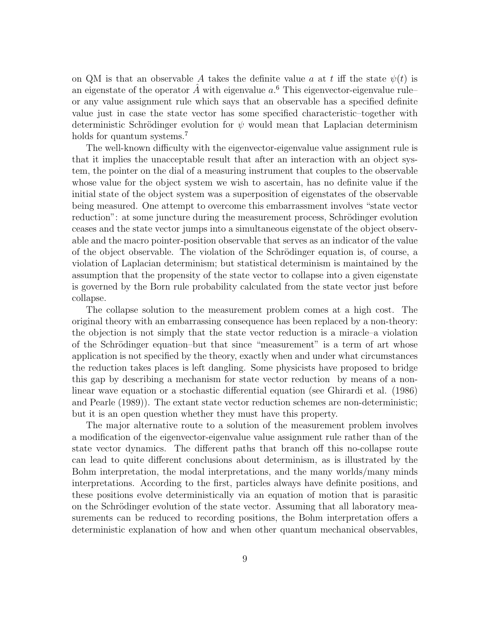on QM is that an observable A takes the definite value a at t iff the state  $\psi(t)$  is an eigenstate of the operator  $\hat{A}$  with eigenvalue  $a$ .<sup>6</sup> This eigenvector-eigenvalue rule– or any value assignment rule which says that an observable has a specified definite value just in case the state vector has some specified characteristic–together with deterministic Schrödinger evolution for  $\psi$  would mean that Laplacian determinism holds for quantum systems.<sup>7</sup>

The well-known difficulty with the eigenvector-eigenvalue value assignment rule is that it implies the unacceptable result that after an interaction with an object system, the pointer on the dial of a measuring instrument that couples to the observable whose value for the object system we wish to ascertain, has no definite value if the initial state of the object system was a superposition of eigenstates of the observable being measured. One attempt to overcome this embarrassment involves "state vector reduction": at some juncture during the measurement process, Schrödinger evolution ceases and the state vector jumps into a simultaneous eigenstate of the object observable and the macro pointer-position observable that serves as an indicator of the value of the object observable. The violation of the Schrödinger equation is, of course, a violation of Laplacian determinism; but statistical determinism is maintained by the assumption that the propensity of the state vector to collapse into a given eigenstate is governed by the Born rule probability calculated from the state vector just before collapse.

The collapse solution to the measurement problem comes at a high cost. The original theory with an embarrassing consequence has been replaced by a non-theory: the objection is not simply that the state vector reduction is a miracle–a violation of the Schrödinger equation–but that since "measurement" is a term of art whose application is not specified by the theory, exactly when and under what circumstances the reduction takes places is left dangling. Some physicists have proposed to bridge this gap by describing a mechanism for state vector reduction by means of a nonlinear wave equation or a stochastic differential equation (see Ghirardi et al. (1986) and Pearle (1989)). The extant state vector reduction schemes are non-deterministic; but it is an open question whether they must have this property.

The major alternative route to a solution of the measurement problem involves a modification of the eigenvector-eigenvalue value assignment rule rather than of the state vector dynamics. The different paths that branch off this no-collapse route can lead to quite different conclusions about determinism, as is illustrated by the Bohm interpretation, the modal interpretations, and the many worlds/many minds interpretations. According to the first, particles always have definite positions, and these positions evolve deterministically via an equation of motion that is parasitic on the Schrödinger evolution of the state vector. Assuming that all laboratory measurements can be reduced to recording positions, the Bohm interpretation offers a deterministic explanation of how and when other quantum mechanical observables,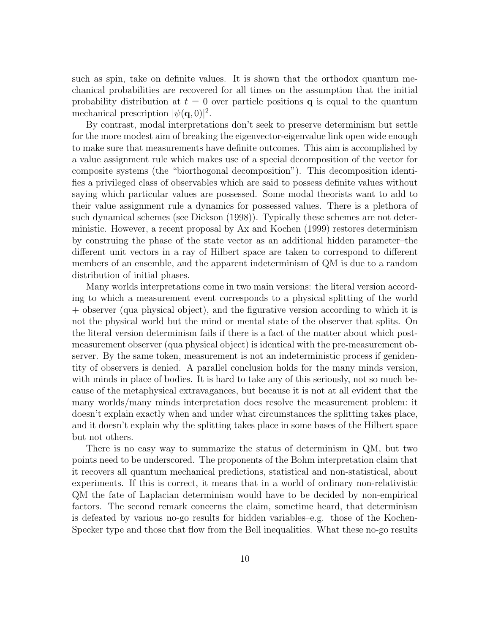such as spin, take on definite values. It is shown that the orthodox quantum mechanical probabilities are recovered for all times on the assumption that the initial probability distribution at  $t = 0$  over particle positions q is equal to the quantum mechanical prescription  $|\psi(\mathbf{q},0)|^2$ .

By contrast, modal interpretations don't seek to preserve determinism but settle for the more modest aim of breaking the eigenvector-eigenvalue link open wide enough to make sure that measurements have definite outcomes. This aim is accomplished by a value assignment rule which makes use of a special decomposition of the vector for composite systems (the "biorthogonal decomposition"). This decomposition identifies a privileged class of observables which are said to possess definite values without saying which particular values are possessed. Some modal theorists want to add to their value assignment rule a dynamics for possessed values. There is a plethora of such dynamical schemes (see Dickson (1998)). Typically these schemes are not deterministic. However, a recent proposal by Ax and Kochen (1999) restores determinism by construing the phase of the state vector as an additional hidden parameter–the different unit vectors in a ray of Hilbert space are taken to correspond to different members of an ensemble, and the apparent indeterminism of QM is due to a random distribution of initial phases.

Many worlds interpretations come in two main versions: the literal version according to which a measurement event corresponds to a physical splitting of the world + observer (qua physical object), and the figurative version according to which it is not the physical world but the mind or mental state of the observer that splits. On the literal version determinism fails if there is a fact of the matter about which postmeasurement observer (qua physical object) is identical with the pre-measurement observer. By the same token, measurement is not an indeterministic process if genidentity of observers is denied. A parallel conclusion holds for the many minds version, with minds in place of bodies. It is hard to take any of this seriously, not so much because of the metaphysical extravagances, but because it is not at all evident that the many worlds/many minds interpretation does resolve the measurement problem: it doesn't explain exactly when and under what circumstances the splitting takes place, and it doesn't explain why the splitting takes place in some bases of the Hilbert space but not others.

There is no easy way to summarize the status of determinism in QM, but two points need to be underscored. The proponents of the Bohm interpretation claim that it recovers all quantum mechanical predictions, statistical and non-statistical, about experiments. If this is correct, it means that in a world of ordinary non-relativistic QM the fate of Laplacian determinism would have to be decided by non-empirical factors. The second remark concerns the claim, sometime heard, that determinism is defeated by various no-go results for hidden variables–e.g. those of the Kochen-Specker type and those that flow from the Bell inequalities. What these no-go results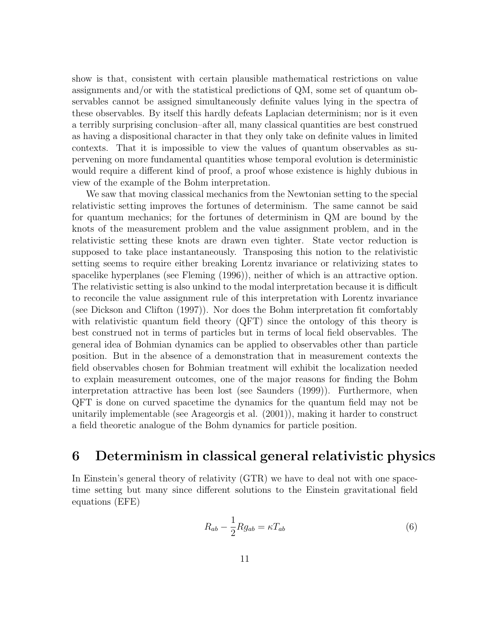show is that, consistent with certain plausible mathematical restrictions on value assignments and/or with the statistical predictions of QM, some set of quantum observables cannot be assigned simultaneously definite values lying in the spectra of these observables. By itself this hardly defeats Laplacian determinism; nor is it even a terribly surprising conclusion–after all, many classical quantities are best construed as having a dispositional character in that they only take on definite values in limited contexts. That it is impossible to view the values of quantum observables as supervening on more fundamental quantities whose temporal evolution is deterministic would require a different kind of proof, a proof whose existence is highly dubious in view of the example of the Bohm interpretation.

We saw that moving classical mechanics from the Newtonian setting to the special relativistic setting improves the fortunes of determinism. The same cannot be said for quantum mechanics; for the fortunes of determinism in QM are bound by the knots of the measurement problem and the value assignment problem, and in the relativistic setting these knots are drawn even tighter. State vector reduction is supposed to take place instantaneously. Transposing this notion to the relativistic setting seems to require either breaking Lorentz invariance or relativizing states to spacelike hyperplanes (see Fleming (1996)), neither of which is an attractive option. The relativistic setting is also unkind to the modal interpretation because it is difficult to reconcile the value assignment rule of this interpretation with Lorentz invariance (see Dickson and Clifton (1997)). Nor does the Bohm interpretation fit comfortably with relativistic quantum field theory (QFT) since the ontology of this theory is best construed not in terms of particles but in terms of local field observables. The general idea of Bohmian dynamics can be applied to observables other than particle position. But in the absence of a demonstration that in measurement contexts the field observables chosen for Bohmian treatment will exhibit the localization needed to explain measurement outcomes, one of the major reasons for finding the Bohm interpretation attractive has been lost (see Saunders (1999)). Furthermore, when QFT is done on curved spacetime the dynamics for the quantum field may not be unitarily implementable (see Arageorgis et al. (2001)), making it harder to construct a field theoretic analogue of the Bohm dynamics for particle position.

#### 6 Determinism in classical general relativistic physics

In Einstein's general theory of relativity (GTR) we have to deal not with one spacetime setting but many since different solutions to the Einstein gravitational field equations (EFE)

$$
R_{ab} - \frac{1}{2} R g_{ab} = \kappa T_{ab} \tag{6}
$$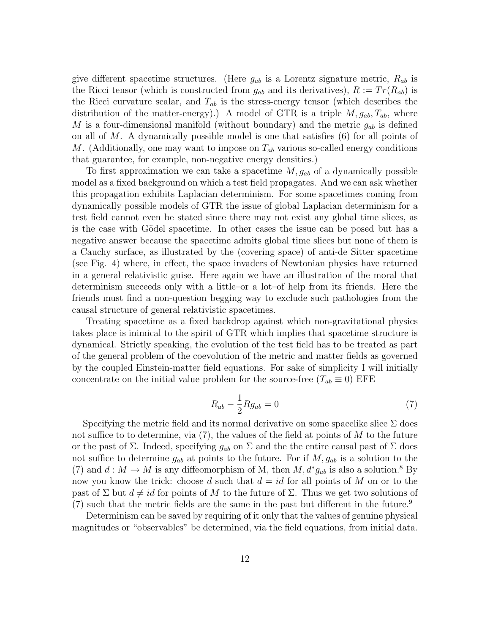give different spacetime structures. (Here  $g_{ab}$  is a Lorentz signature metric,  $R_{ab}$  is the Ricci tensor (which is constructed from  $g_{ab}$  and its derivatives),  $R := Tr(R_{ab})$  is the Ricci curvature scalar, and  $T_{ab}$  is the stress-energy tensor (which describes the distribution of the matter-energy).) A model of GTR is a triple  $M, g_{ab}, T_{ab}$ , where M is a four-dimensional manifold (without boundary) and the metric  $g_{ab}$  is defined on all of  $M$ . A dynamically possible model is one that satisfies  $(6)$  for all points of M. (Additionally, one may want to impose on  $T_{ab}$  various so-called energy conditions that guarantee, for example, non-negative energy densities.)

To first approximation we can take a spacetime  $M$ ,  $g_{ab}$  of a dynamically possible model as a fixed background on which a test field propagates. And we can ask whether this propagation exhibits Laplacian determinism. For some spacetimes coming from dynamically possible models of GTR the issue of global Laplacian determinism for a test field cannot even be stated since there may not exist any global time slices, as is the case with Gödel spacetime. In other cases the issue can be posed but has a negative answer because the spacetime admits global time slices but none of them is a Cauchy surface, as illustrated by the (covering space) of anti-de Sitter spacetime (see Fig. 4) where, in effect, the space invaders of Newtonian physics have returned in a general relativistic guise. Here again we have an illustration of the moral that determinism succeeds only with a little–or a lot–of help from its friends. Here the friends must find a non-question begging way to exclude such pathologies from the causal structure of general relativistic spacetimes.

Treating spacetime as a fixed backdrop against which non-gravitational physics takes place is inimical to the spirit of GTR which implies that spacetime structure is dynamical. Strictly speaking, the evolution of the test field has to be treated as part of the general problem of the coevolution of the metric and matter fields as governed by the coupled Einstein-matter field equations. For sake of simplicity I will initially concentrate on the initial value problem for the source-free  $(T_{ab} \equiv 0)$  EFE

$$
R_{ab} - \frac{1}{2} R g_{ab} = 0 \tag{7}
$$

Specifying the metric field and its normal derivative on some spacelike slice  $\Sigma$  does not suffice to to determine, via  $(7)$ , the values of the field at points of M to the future or the past of  $\Sigma$ . Indeed, specifying  $g_{ab}$  on  $\Sigma$  and the the entire causal past of  $\Sigma$  does not suffice to determine  $g_{ab}$  at points to the future. For if  $M, g_{ab}$  is a solution to the (7) and  $d: M \to M$  is any diffeomorphism of M, then  $M, d^*g_{ab}$  is also a solution.<sup>8</sup> By now you know the trick: choose d such that  $d = id$  for all points of M on or to the past of  $\Sigma$  but  $d \neq id$  for points of M to the future of  $\Sigma$ . Thus we get two solutions of  $(7)$  such that the metric fields are the same in the past but different in the future.<sup>9</sup>

Determinism can be saved by requiring of it only that the values of genuine physical magnitudes or "observables" be determined, via the field equations, from initial data.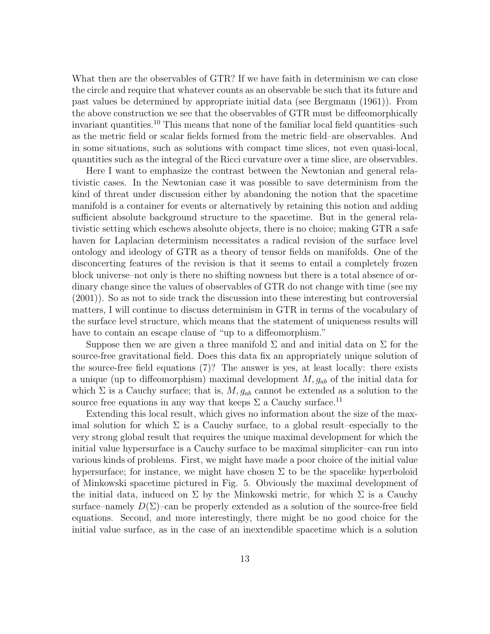What then are the observables of GTR? If we have faith in determinism we can close the circle and require that whatever counts as an observable be such that its future and past values be determined by appropriate initial data (see Bergmann (1961)). From the above construction we see that the observables of GTR must be diffeomorphically invariant quantities.<sup>10</sup> This means that none of the familiar local field quantities–such as the metric field or scalar fields formed from the metric field–are observables. And in some situations, such as solutions with compact time slices, not even quasi-local, quantities such as the integral of the Ricci curvature over a time slice, are observables.

Here I want to emphasize the contrast between the Newtonian and general relativistic cases. In the Newtonian case it was possible to save determinism from the kind of threat under discussion either by abandoning the notion that the spacetime manifold is a container for events or alternatively by retaining this notion and adding sufficient absolute background structure to the spacetime. But in the general relativistic setting which eschews absolute objects, there is no choice; making GTR a safe haven for Laplacian determinism necessitates a radical revision of the surface level ontology and ideology of GTR as a theory of tensor fields on manifolds. One of the disconcerting features of the revision is that it seems to entail a completely frozen block universe–not only is there no shifting nowness but there is a total absence of ordinary change since the values of observables of GTR do not change with time (see my (2001)). So as not to side track the discussion into these interesting but controversial matters, I will continue to discuss determinism in GTR in terms of the vocabulary of the surface level structure, which means that the statement of uniqueness results will have to contain an escape clause of "up to a diffeomorphism."

Suppose then we are given a three manifold  $\Sigma$  and and initial data on  $\Sigma$  for the source-free gravitational field. Does this data fix an appropriately unique solution of the source-free field equations (7)? The answer is yes, at least locally: there exists a unique (up to diffeomorphism) maximal development  $M$ ,  $g_{ab}$  of the initial data for which  $\Sigma$  is a Cauchy surface; that is,  $M$ ,  $g_{ab}$  cannot be extended as a solution to the source free equations in any way that keeps  $\Sigma$  a Cauchy surface.<sup>11</sup>

Extending this local result, which gives no information about the size of the maximal solution for which  $\Sigma$  is a Cauchy surface, to a global result–especially to the very strong global result that requires the unique maximal development for which the initial value hypersurface is a Cauchy surface to be maximal simpliciter–can run into various kinds of problems. First, we might have made a poor choice of the initial value hypersurface; for instance, we might have chosen  $\Sigma$  to be the spacelike hyperboloid of Minkowski spacetime pictured in Fig. 5. Obviously the maximal development of the initial data, induced on  $\Sigma$  by the Minkowski metric, for which  $\Sigma$  is a Cauchy surface–namely  $D(\Sigma)$ –can be properly extended as a solution of the source-free field equations. Second, and more interestingly, there might be no good choice for the initial value surface, as in the case of an inextendible spacetime which is a solution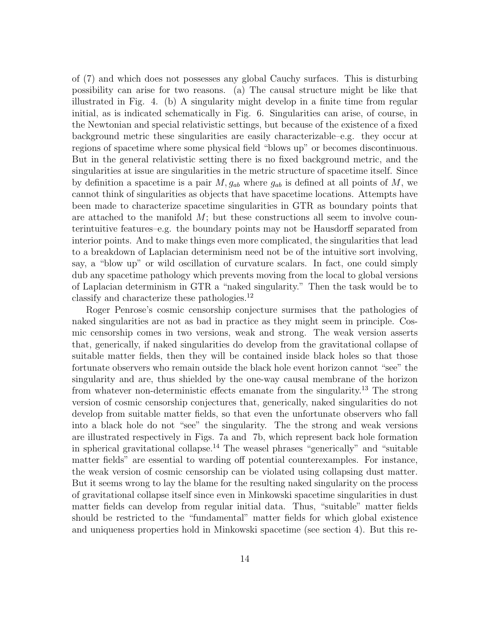of (7) and which does not possesses any global Cauchy surfaces. This is disturbing possibility can arise for two reasons. (a) The causal structure might be like that illustrated in Fig. 4. (b) A singularity might develop in a finite time from regular initial, as is indicated schematically in Fig. 6. Singularities can arise, of course, in the Newtonian and special relativistic settings, but because of the existence of a fixed background metric these singularities are easily characterizable–e.g. they occur at regions of spacetime where some physical field "blows up" or becomes discontinuous. But in the general relativistic setting there is no fixed background metric, and the singularities at issue are singularities in the metric structure of spacetime itself. Since by definition a spacetime is a pair  $M$ ,  $g_{ab}$  where  $g_{ab}$  is defined at all points of  $M$ , we cannot think of singularities as objects that have spacetime locations. Attempts have been made to characterize spacetime singularities in GTR as boundary points that are attached to the manifold  $M$ ; but these constructions all seem to involve counterintuitive features–e.g. the boundary points may not be Hausdorff separated from interior points. And to make things even more complicated, the singularities that lead to a breakdown of Laplacian determinism need not be of the intuitive sort involving, say, a "blow up" or wild oscillation of curvature scalars. In fact, one could simply dub any spacetime pathology which prevents moving from the local to global versions of Laplacian determinism in GTR a "naked singularity." Then the task would be to classify and characterize these pathologies.<sup>12</sup>

Roger Penrose's cosmic censorship conjecture surmises that the pathologies of naked singularities are not as bad in practice as they might seem in principle. Cosmic censorship comes in two versions, weak and strong. The weak version asserts that, generically, if naked singularities do develop from the gravitational collapse of suitable matter fields, then they will be contained inside black holes so that those fortunate observers who remain outside the black hole event horizon cannot "see" the singularity and are, thus shielded by the one-way causal membrane of the horizon from whatever non-deterministic effects emanate from the singularity.<sup>13</sup> The strong version of cosmic censorship conjectures that, generically, naked singularities do not develop from suitable matter fields, so that even the unfortunate observers who fall into a black hole do not "see" the singularity. The the strong and weak versions are illustrated respectively in Figs. 7a and 7b, which represent back hole formation in spherical gravitational collapse.<sup>14</sup> The weasel phrases "generically" and "suitable matter fields" are essential to warding off potential counterexamples. For instance, the weak version of cosmic censorship can be violated using collapsing dust matter. But it seems wrong to lay the blame for the resulting naked singularity on the process of gravitational collapse itself since even in Minkowski spacetime singularities in dust matter fields can develop from regular initial data. Thus, "suitable" matter fields should be restricted to the "fundamental" matter fields for which global existence and uniqueness properties hold in Minkowski spacetime (see section 4). But this re-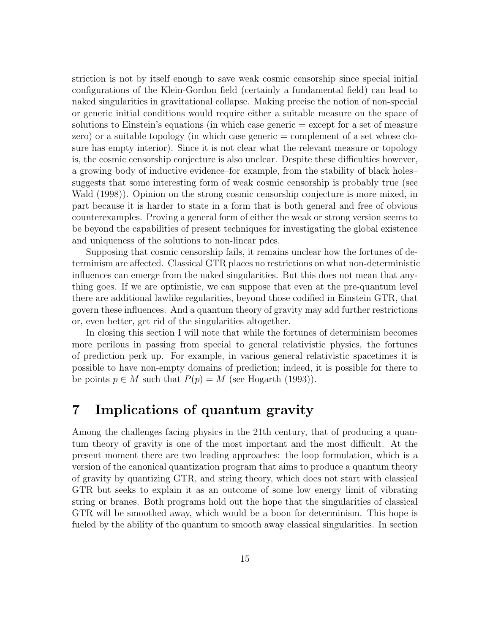striction is not by itself enough to save weak cosmic censorship since special initial configurations of the Klein-Gordon field (certainly a fundamental field) can lead to naked singularities in gravitational collapse. Making precise the notion of non-special or generic initial conditions would require either a suitable measure on the space of solutions to Einstein's equations (in which case generic = except for a set of measure zero) or a suitable topology (in which case generic = complement of a set whose closure has empty interior). Since it is not clear what the relevant measure or topology is, the cosmic censorship conjecture is also unclear. Despite these difficulties however, a growing body of inductive evidence–for example, from the stability of black holes– suggests that some interesting form of weak cosmic censorship is probably true (see Wald (1998)). Opinion on the strong cosmic censorship conjecture is more mixed, in part because it is harder to state in a form that is both general and free of obvious counterexamples. Proving a general form of either the weak or strong version seems to be beyond the capabilities of present techniques for investigating the global existence and uniqueness of the solutions to non-linear pdes.

Supposing that cosmic censorship fails, it remains unclear how the fortunes of determinism are affected. Classical GTR places no restrictions on what non-deterministic influences can emerge from the naked singularities. But this does not mean that anything goes. If we are optimistic, we can suppose that even at the pre-quantum level there are additional lawlike regularities, beyond those codified in Einstein GTR, that govern these influences. And a quantum theory of gravity may add further restrictions or, even better, get rid of the singularities altogether.

In closing this section I will note that while the fortunes of determinism becomes more perilous in passing from special to general relativistic physics, the fortunes of prediction perk up. For example, in various general relativistic spacetimes it is possible to have non-empty domains of prediction; indeed, it is possible for there to be points  $p \in M$  such that  $P(p) = M$  (see Hogarth (1993)).

#### 7 Implications of quantum gravity

Among the challenges facing physics in the 21th century, that of producing a quantum theory of gravity is one of the most important and the most difficult. At the present moment there are two leading approaches: the loop formulation, which is a version of the canonical quantization program that aims to produce a quantum theory of gravity by quantizing GTR, and string theory, which does not start with classical GTR but seeks to explain it as an outcome of some low energy limit of vibrating string or branes. Both programs hold out the hope that the singularities of classical GTR will be smoothed away, which would be a boon for determinism. This hope is fueled by the ability of the quantum to smooth away classical singularities. In section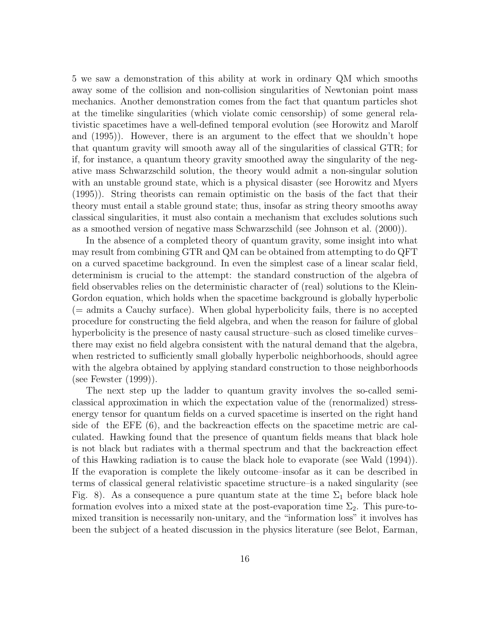5 we saw a demonstration of this ability at work in ordinary QM which smooths away some of the collision and non-collision singularities of Newtonian point mass mechanics. Another demonstration comes from the fact that quantum particles shot at the timelike singularities (which violate comic censorship) of some general relativistic spacetimes have a well-defined temporal evolution (see Horowitz and Marolf and (1995)). However, there is an argument to the effect that we shouldn't hope that quantum gravity will smooth away all of the singularities of classical GTR; for if, for instance, a quantum theory gravity smoothed away the singularity of the negative mass Schwarzschild solution, the theory would admit a non-singular solution with an unstable ground state, which is a physical disaster (see Horowitz and Myers (1995)). String theorists can remain optimistic on the basis of the fact that their theory must entail a stable ground state; thus, insofar as string theory smooths away classical singularities, it must also contain a mechanism that excludes solutions such as a smoothed version of negative mass Schwarzschild (see Johnson et al. (2000)).

In the absence of a completed theory of quantum gravity, some insight into what may result from combining GTR and QM can be obtained from attempting to do QFT on a curved spacetime background. In even the simplest case of a linear scalar field, determinism is crucial to the attempt: the standard construction of the algebra of field observables relies on the deterministic character of (real) solutions to the Klein-Gordon equation, which holds when the spacetime background is globally hyperbolic (= admits a Cauchy surface). When global hyperbolicity fails, there is no accepted procedure for constructing the field algebra, and when the reason for failure of global hyperbolicity is the presence of nasty causal structure–such as closed timelike curves– there may exist no field algebra consistent with the natural demand that the algebra, when restricted to sufficiently small globally hyperbolic neighborhoods, should agree with the algebra obtained by applying standard construction to those neighborhoods (see Fewster (1999)).

The next step up the ladder to quantum gravity involves the so-called semiclassical approximation in which the expectation value of the (renormalized) stressenergy tensor for quantum fields on a curved spacetime is inserted on the right hand side of the EFE (6), and the backreaction effects on the spacetime metric are calculated. Hawking found that the presence of quantum fields means that black hole is not black but radiates with a thermal spectrum and that the backreaction effect of this Hawking radiation is to cause the black hole to evaporate (see Wald (1994)). If the evaporation is complete the likely outcome–insofar as it can be described in terms of classical general relativistic spacetime structure–is a naked singularity (see Fig. 8). As a consequence a pure quantum state at the time  $\Sigma_1$  before black hole formation evolves into a mixed state at the post-evaporation time  $\Sigma_2$ . This pure-tomixed transition is necessarily non-unitary, and the "information loss" it involves has been the subject of a heated discussion in the physics literature (see Belot, Earman,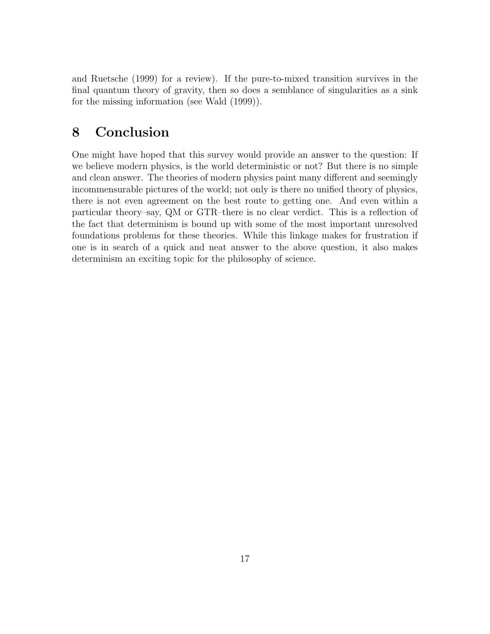and Ruetsche (1999) for a review). If the pure-to-mixed transition survives in the final quantum theory of gravity, then so does a semblance of singularities as a sink for the missing information (see Wald (1999)).

## 8 Conclusion

One might have hoped that this survey would provide an answer to the question: If we believe modern physics, is the world deterministic or not? But there is no simple and clean answer. The theories of modern physics paint many different and seemingly incommensurable pictures of the world; not only is there no unified theory of physics, there is not even agreement on the best route to getting one. And even within a particular theory–say, QM or GTR–there is no clear verdict. This is a reflection of the fact that determinism is bound up with some of the most important unresolved foundations problems for these theories. While this linkage makes for frustration if one is in search of a quick and neat answer to the above question, it also makes determinism an exciting topic for the philosophy of science.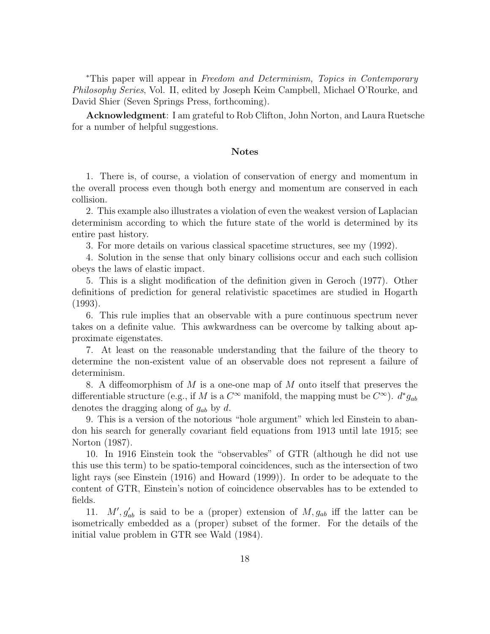<sup>∗</sup>This paper will appear in Freedom and Determinism, Topics in Contemporary Philosophy Series, Vol. II, edited by Joseph Keim Campbell, Michael O'Rourke, and David Shier (Seven Springs Press, forthcoming).

Acknowledgment: I am grateful to Rob Clifton, John Norton, and Laura Ruetsche for a number of helpful suggestions.

#### Notes

1. There is, of course, a violation of conservation of energy and momentum in the overall process even though both energy and momentum are conserved in each collision.

2. This example also illustrates a violation of even the weakest version of Laplacian determinism according to which the future state of the world is determined by its entire past history.

3. For more details on various classical spacetime structures, see my (1992).

4. Solution in the sense that only binary collisions occur and each such collision obeys the laws of elastic impact.

5. This is a slight modification of the definition given in Geroch (1977). Other definitions of prediction for general relativistic spacetimes are studied in Hogarth (1993).

6. This rule implies that an observable with a pure continuous spectrum never takes on a definite value. This awkwardness can be overcome by talking about approximate eigenstates.

7. At least on the reasonable understanding that the failure of the theory to determine the non-existent value of an observable does not represent a failure of determinism.

8. A diffeomorphism of M is a one-one map of M onto itself that preserves the differentiable structure (e.g., if M is a  $C^{\infty}$  manifold, the mapping must be  $C^{\infty}$ ).  $d^*g_{ab}$ denotes the dragging along of  $g_{ab}$  by d.

9. This is a version of the notorious "hole argument" which led Einstein to abandon his search for generally covariant field equations from 1913 until late 1915; see Norton (1987).

10. In 1916 Einstein took the "observables" of GTR (although he did not use this use this term) to be spatio-temporal coincidences, such as the intersection of two light rays (see Einstein (1916) and Howard (1999)). In order to be adequate to the content of GTR, Einstein's notion of coincidence observables has to be extended to fields.

11.  $M', g'_{ab}$  is said to be a (proper) extension of  $M, g_{ab}$  iff the latter can be isometrically embedded as a (proper) subset of the former. For the details of the initial value problem in GTR see Wald (1984).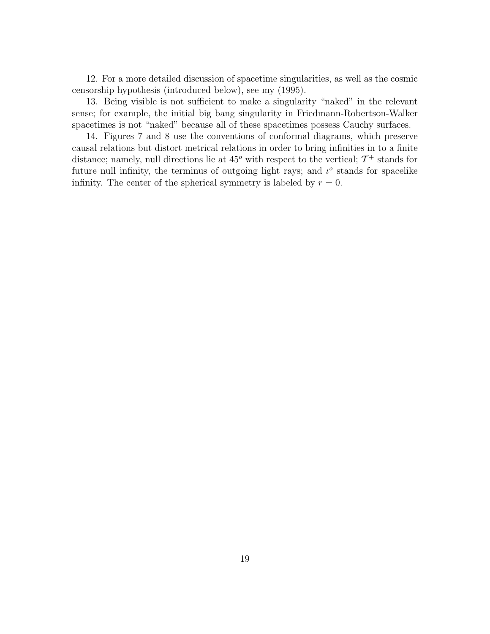12. For a more detailed discussion of spacetime singularities, as well as the cosmic censorship hypothesis (introduced below), see my (1995).

13. Being visible is not sufficient to make a singularity "naked" in the relevant sense; for example, the initial big bang singularity in Friedmann-Robertson-Walker spacetimes is not "naked" because all of these spacetimes possess Cauchy surfaces.

14. Figures 7 and 8 use the conventions of conformal diagrams, which preserve causal relations but distort metrical relations in order to bring infinities in to a finite distance; namely, null directions lie at  $45^{\circ}$  with respect to the vertical;  $\mathcal{T}^+$  stands for future null infinity, the terminus of outgoing light rays; and  $\iota^o$  stands for spacelike infinity. The center of the spherical symmetry is labeled by  $r = 0$ .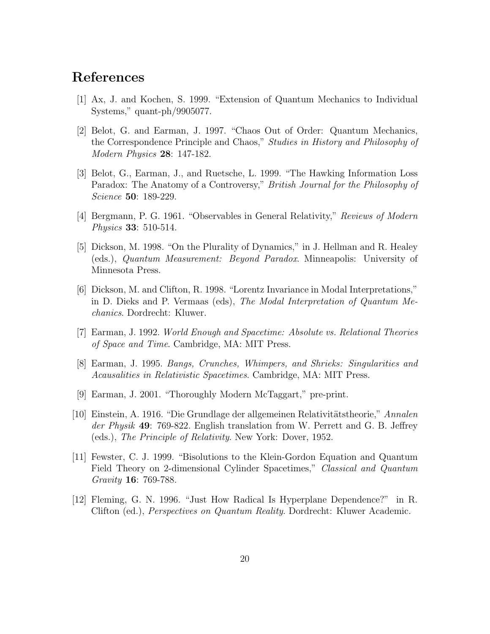## References

- [1] Ax, J. and Kochen, S. 1999. "Extension of Quantum Mechanics to Individual Systems," quant-ph/9905077.
- [2] Belot, G. and Earman, J. 1997. "Chaos Out of Order: Quantum Mechanics, the Correspondence Principle and Chaos," Studies in History and Philosophy of Modern Physics 28: 147-182.
- [3] Belot, G., Earman, J., and Ruetsche, L. 1999. "The Hawking Information Loss Paradox: The Anatomy of a Controversy," British Journal for the Philosophy of Science 50: 189-229.
- [4] Bergmann, P. G. 1961. "Observables in General Relativity," Reviews of Modern Physics 33: 510-514.
- [5] Dickson, M. 1998. "On the Plurality of Dynamics," in J. Hellman and R. Healey (eds.), Quantum Measurement: Beyond Paradox. Minneapolis: University of Minnesota Press.
- [6] Dickson, M. and Clifton, R. 1998. "Lorentz Invariance in Modal Interpretations," in D. Dieks and P. Vermaas (eds), The Modal Interpretation of Quantum Mechanics. Dordrecht: Kluwer.
- [7] Earman, J. 1992. World Enough and Spacetime: Absolute vs. Relational Theories of Space and Time. Cambridge, MA: MIT Press.
- [8] Earman, J. 1995. Bangs, Crunches, Whimpers, and Shrieks: Singularities and Acausalities in Relativistic Spacetimes. Cambridge, MA: MIT Press.
- [9] Earman, J. 2001. "Thoroughly Modern McTaggart," pre-print.
- [10] Einstein, A. 1916. "Die Grundlage der allgemeinen Relativitätstheorie," Annalen der Physik 49: 769-822. English translation from W. Perrett and G. B. Jeffrey (eds.), The Principle of Relativity. New York: Dover, 1952.
- [11] Fewster, C. J. 1999. "Bisolutions to the Klein-Gordon Equation and Quantum Field Theory on 2-dimensional Cylinder Spacetimes," Classical and Quantum Gravity 16: 769-788.
- [12] Fleming, G. N. 1996. "Just How Radical Is Hyperplane Dependence?" in R. Clifton (ed.), Perspectives on Quantum Reality. Dordrecht: Kluwer Academic.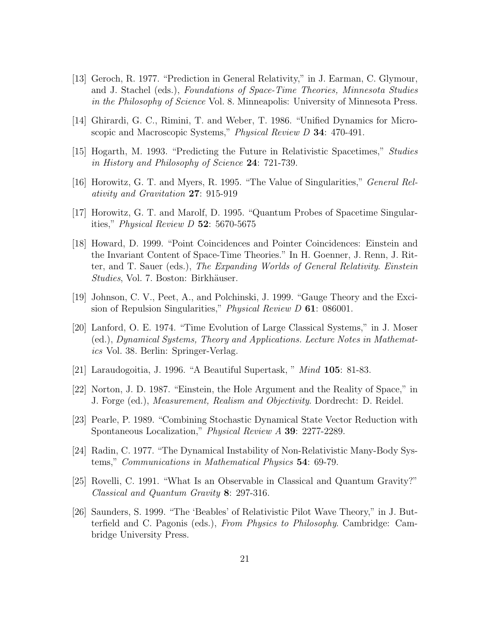- [13] Geroch, R. 1977. "Prediction in General Relativity," in J. Earman, C. Glymour, and J. Stachel (eds.), Foundations of Space-Time Theories, Minnesota Studies in the Philosophy of Science Vol. 8. Minneapolis: University of Minnesota Press.
- [14] Ghirardi, G. C., Rimini, T. and Weber, T. 1986. "Unified Dynamics for Microscopic and Macroscopic Systems," Physical Review D 34: 470-491.
- [15] Hogarth, M. 1993. "Predicting the Future in Relativistic Spacetimes," Studies in History and Philosophy of Science 24: 721-739.
- [16] Horowitz, G. T. and Myers, R. 1995. "The Value of Singularities," General Relativity and Gravitation 27: 915-919
- [17] Horowitz, G. T. and Marolf, D. 1995. "Quantum Probes of Spacetime Singularities," Physical Review D 52: 5670-5675
- [18] Howard, D. 1999. "Point Coincidences and Pointer Coincidences: Einstein and the Invariant Content of Space-Time Theories." In H. Goenner, J. Renn, J. Ritter, and T. Sauer (eds.), The Expanding Worlds of General Relativity. Einstein Studies, Vol. 7. Boston: Birkhäuser.
- [19] Johnson, C. V., Peet, A., and Polchinski, J. 1999. "Gauge Theory and the Excision of Repulsion Singularities," Physical Review D 61: 086001.
- [20] Lanford, O. E. 1974. "Time Evolution of Large Classical Systems," in J. Moser (ed.), Dynamical Systems, Theory and Applications. Lecture Notes in Mathematics Vol. 38. Berlin: Springer-Verlag.
- [21] Laraudogoitia, J. 1996. "A Beautiful Supertask, " Mind 105: 81-83.
- [22] Norton, J. D. 1987. "Einstein, the Hole Argument and the Reality of Space," in J. Forge (ed.), Measurement, Realism and Objectivity. Dordrecht: D. Reidel.
- [23] Pearle, P. 1989. "Combining Stochastic Dynamical State Vector Reduction with Spontaneous Localization," Physical Review A 39: 2277-2289.
- [24] Radin, C. 1977. "The Dynamical Instability of Non-Relativistic Many-Body Systems," Communications in Mathematical Physics 54: 69-79.
- [25] Rovelli, C. 1991. "What Is an Observable in Classical and Quantum Gravity?" Classical and Quantum Gravity 8: 297-316.
- [26] Saunders, S. 1999. "The 'Beables' of Relativistic Pilot Wave Theory," in J. Butterfield and C. Pagonis (eds.), From Physics to Philosophy. Cambridge: Cambridge University Press.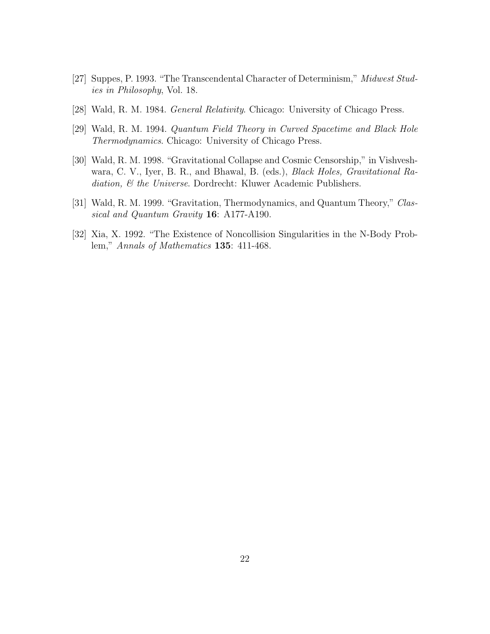- [27] Suppes, P. 1993. "The Transcendental Character of Determinism," Midwest Studies in Philosophy, Vol. 18.
- [28] Wald, R. M. 1984. General Relativity. Chicago: University of Chicago Press.
- [29] Wald, R. M. 1994. Quantum Field Theory in Curved Spacetime and Black Hole Thermodynamics. Chicago: University of Chicago Press.
- [30] Wald, R. M. 1998. "Gravitational Collapse and Cosmic Censorship," in Vishveshwara, C. V., Iyer, B. R., and Bhawal, B. (eds.), Black Holes, Gravitational Radiation, & the Universe. Dordrecht: Kluwer Academic Publishers.
- [31] Wald, R. M. 1999. "Gravitation, Thermodynamics, and Quantum Theory," Classical and Quantum Gravity **16**: A177-A190.
- [32] Xia, X. 1992. "The Existence of Noncollision Singularities in the N-Body Problem," Annals of Mathematics 135: 411-468.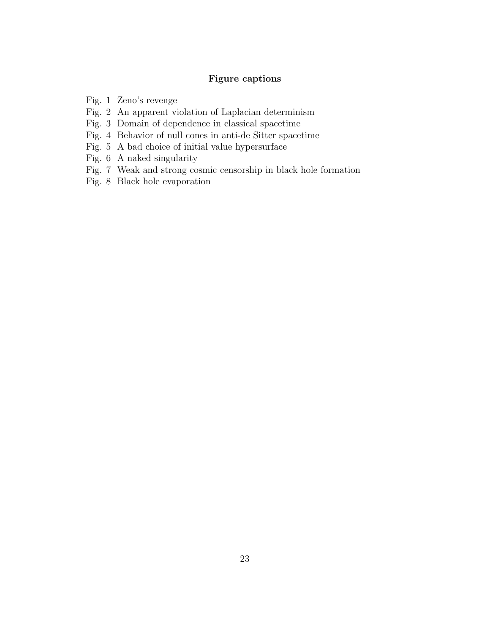#### Figure captions

- Fig. 1 Zeno's revenge
- Fig. 2 An apparent violation of Laplacian determinism
- Fig. 3 Domain of dependence in classical spacetime
- Fig. 4 Behavior of null cones in anti-de Sitter spacetime
- Fig. 5 A bad choice of initial value hypersurface
- Fig. 6 A naked singularity
- Fig. 7 Weak and strong cosmic censorship in black hole formation
- Fig. 8 Black hole evaporation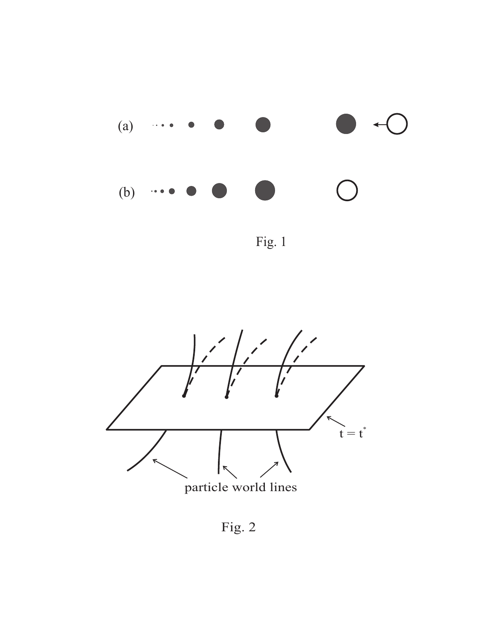

Fig. 1



Fig. 2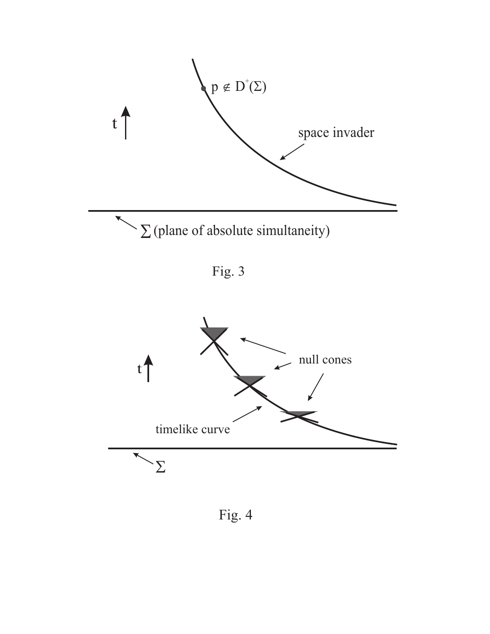

Fig. 4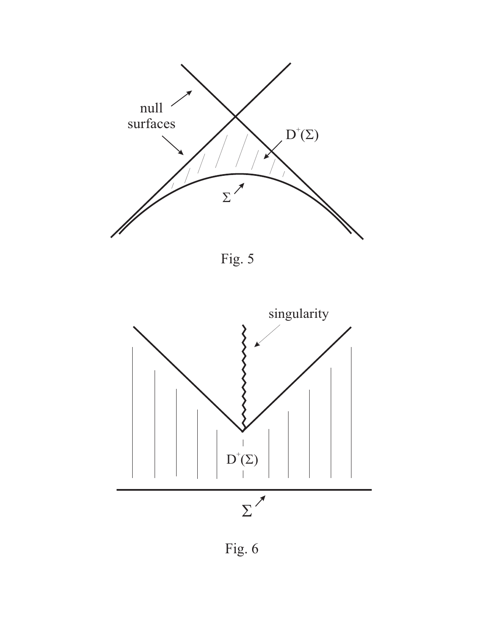

Fig. 5



Fig. 6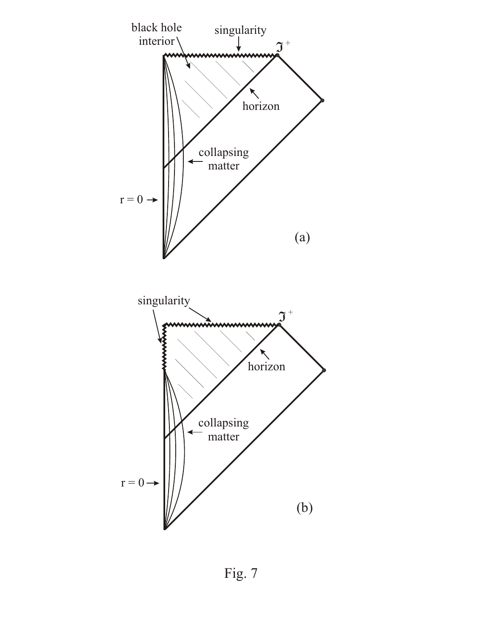

Fig. 7